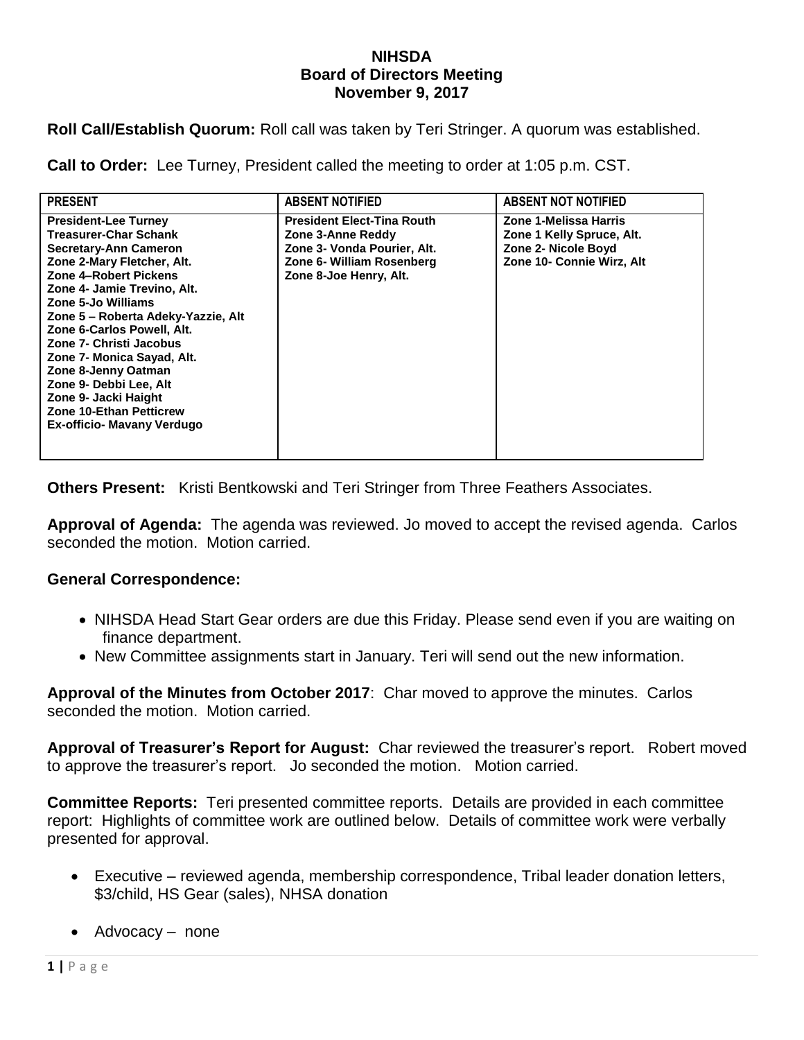## **NIHSDA Board of Directors Meeting November 9, 2017**

**Roll Call/Establish Quorum:** Roll call was taken by Teri Stringer. A quorum was established.

**Call to Order:** Lee Turney, President called the meeting to order at 1:05 p.m. CST.

| <b>PRESENT</b>                                                                                                                                                                                                                                                                                                                                                                                                                                                                | <b>ABSENT NOTIFIED</b>                                                                                                                       | <b>ABSENT NOT NOTIFIED</b>                                                                             |
|-------------------------------------------------------------------------------------------------------------------------------------------------------------------------------------------------------------------------------------------------------------------------------------------------------------------------------------------------------------------------------------------------------------------------------------------------------------------------------|----------------------------------------------------------------------------------------------------------------------------------------------|--------------------------------------------------------------------------------------------------------|
| <b>President-Lee Turney</b><br><b>Treasurer-Char Schank</b><br><b>Secretary-Ann Cameron</b><br>Zone 2-Mary Fletcher, Alt.<br>Zone 4-Robert Pickens<br>Zone 4- Jamie Trevino, Alt.<br>Zone 5-Jo Williams<br>Zone 5 - Roberta Adeky-Yazzie, Alt<br>Zone 6-Carlos Powell, Alt.<br>Zone 7- Christi Jacobus<br>Zone 7- Monica Sayad, Alt.<br>Zone 8-Jenny Oatman<br>Zone 9- Debbi Lee, Alt<br>Zone 9- Jacki Haight<br><b>Zone 10-Ethan Petticrew</b><br>Ex-officio- Mavany Verdugo | <b>President Elect-Tina Routh</b><br>Zone 3-Anne Reddy<br>Zone 3- Vonda Pourier, Alt.<br>Zone 6- William Rosenberg<br>Zone 8-Joe Henry, Alt. | Zone 1-Melissa Harris<br>Zone 1 Kelly Spruce, Alt.<br>Zone 2- Nicole Boyd<br>Zone 10- Connie Wirz, Alt |

**Others Present:** Kristi Bentkowski and Teri Stringer from Three Feathers Associates.

**Approval of Agenda:** The agenda was reviewed. Jo moved to accept the revised agenda. Carlos seconded the motion. Motion carried.

## **General Correspondence:**

- NIHSDA Head Start Gear orders are due this Friday. Please send even if you are waiting on finance department.
- New Committee assignments start in January. Teri will send out the new information.

**Approval of the Minutes from October 2017**: Char moved to approve the minutes. Carlos seconded the motion. Motion carried.

**Approval of Treasurer's Report for August:** Char reviewed the treasurer's report. Robert moved to approve the treasurer's report. Jo seconded the motion. Motion carried.

**Committee Reports:** Teri presented committee reports. Details are provided in each committee report: Highlights of committee work are outlined below. Details of committee work were verbally presented for approval.

- Executive reviewed agenda, membership correspondence, Tribal leader donation letters, \$3/child, HS Gear (sales), NHSA donation
- Advocacy none